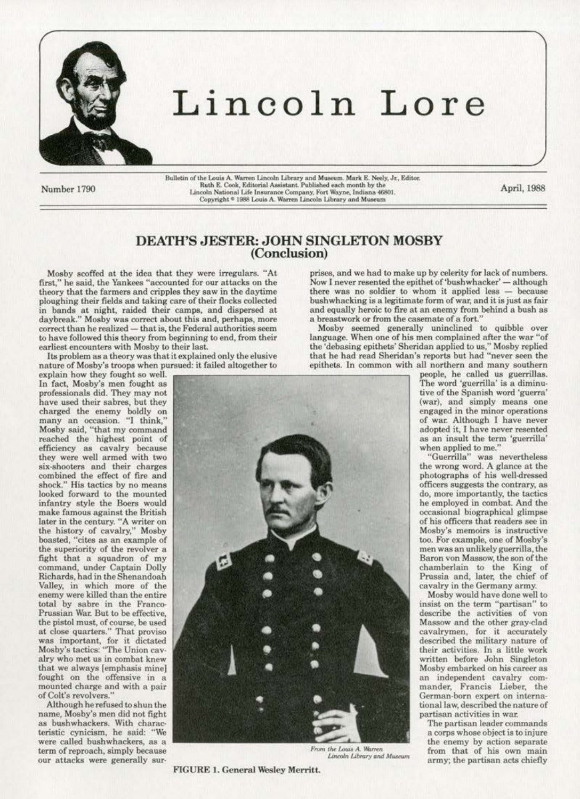

# Lincoln Lore

Number 1790

Bulletin of the Louis A. Warren Lincoln Library and Museum. Mark E. Neely, Jr., Editor.<br>Ruth E. Cook, Editorial Assistant. Published each month by the Lincoln National Life Insurance Company, Fort Wayne, Indiana 46801. Copyright <sup>®</sup> 1988 Louis A. Warren Lincoln Library and Museum

April, 1988

# DEATH'S JESTER: JOHN SINGLETON MOSBY (Conclusion)

Mosby scoffed at the idea that they were irregulars. "At first," he said, the Yankees "accounted for our attacks on the theory that the farmers and cripples they saw in the daytime ploughing their fields and taking care of their flocks collected in bands at night, raided their camps, and dispersed at daybreak." Mosby was correct about this and, perhaps, more correct than he realized - that is, the Federal authorities seem to have followed this theory from beginning to end, from their earliest encounters with Mosby to their last.

Its problem as a theory was that it explained only the elusive nature of Mosby's troops when pursued: it failed altogether to

explain how they fought so well. In fact, Mosby's men fought as professionals did. They may not have used their sabres, but they charged the enemy boldly on many an occasion. "I think," Mosby said, "that my command reached the highest point of<br>efficiency as cavalry because<br>they were well armed with two six-shooters and their charges combined the effect of fire and shock." His tactics by no means<br>looked forward to the mounted infantry style the Boers would make famous against the British later in the century. "A writer on the history of cavalry," Mosby boasted, "cites as an example of the superiority of the revolver a fight that a squadron of my command, under Captain Dolly Richards, had in the Shenandoah Valley, in which more of the enemy were killed than the entire total by sabre in the Franco-Prussian War. But to be effective, the pistol must, of course, be used<br>at close quarters." That proviso was important, for it dictated<br>Mosby's tactics: "The Union cavalry who met us in combat knew that we always [emphasis mine] fought on the offensive in a mounted charge and with a pair of Colt's revolvers."

Although he refused to shun the name, Mosby's men did not fight as bushwhackers. With characteristic cynicism, he said: "We were called bushwhackers, as a term of reproach, simply because our attacks were generally sur-

prises, and we had to make up by celerity for lack of numbers. Now I never resented the epithet of 'bushwhacker' - although there was no soldier to whom it applied less - because bushwhacking is a legitimate form of war, and it is just as fair and equally heroic to fire at an enemy from behind a bush as a breastwork or from the casemate of a fort.'

Mosby seemed generally uninclined to quibble over language. When one of his men complained after the war "of the 'debasing epithets' Sheridan applied to us," Mosby replied<br>that he had read Sheridan's reports but had "never seen the epithets. In common with all northern and many southern



From the Louis A. Warren Lincoln Library and Museum

**FIGURE 1. General Wesley Merritt.** 

people, he called us guerrillas.<br>The word 'guerrilla' is a diminutive of the Spanish word 'guerra' (war), and simply means one engaged in the minor operations of war. Although I have never adopted it, I have never resented as an insult the term 'guerrilla' when applied to me."

"Guerrilla" was nevertheless the wrong word. A glance at the photographs of his well-dressed officers suggests the contrary, as do, more importantly, the tactics he employed in combat. And the occasional biographical glimpse of his officers that readers see in Mosby's memoirs is instructive too. For example, one of Mosby's men was an unlikely guerrilla, the Baron von Massow, the son of the chamberlain to the King of Prussia and, later, the chief of cavalry in the Germany army.

Mosby would have done well to insist on the term "partisan" to describe the activities of von Massow and the other gray-clad cavalrymen, for it accurately described the military nature of their activities. In a little work written before John Singleton Mosby embarked on his career as an independent cavalry commander, Francis Lieber, the German-born expert on international law, described the nature of partisan activities in war.

The partisan leader commands a corps whose object is to injure the enemy by action separate from that of his own main army; the partisan acts chiefly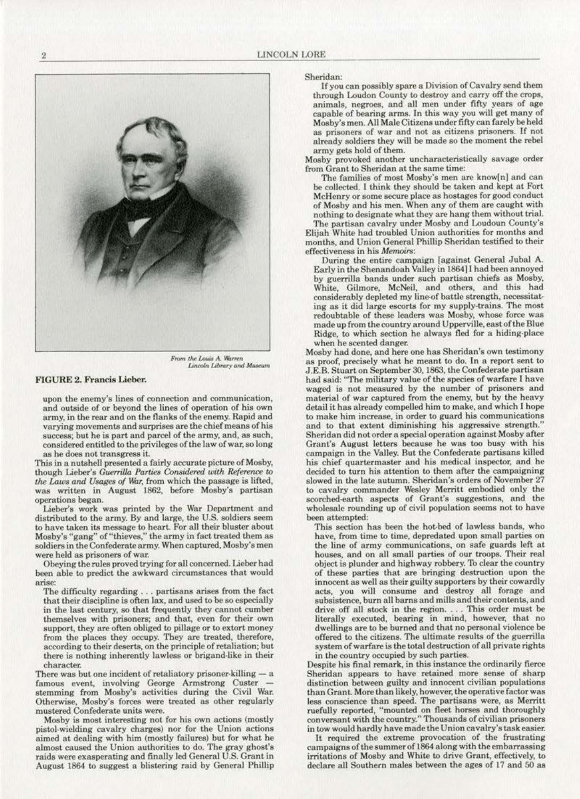

From the Louis A. Warren<br>Lincoln Library and Museum

## FIGURE 2. Francis Lieber.

upon the enemy's lines of connection and communication, and outside of or beyond the lines of operation of his own army, in the rear and on the flanks of the enemy. Rapid and varying movements and surprises are the chief means of his success; but he is part and parcel of the army, and, as such, considered entitled to the privileges of the Jaw of war, so long as he does not transgress it.

This in a nutshell presented a fairly accurate picture of Mosby, though Lieber's *Guerrilla Parties Considered with Reference to the Laws and Usages of War*, from which the passage is lifted, was written in August 1862, before Mosby's partisan operations began.

Lieber's work was printed by the War Department and distributed to the army. By and large, the U.S. soldiers seem to have taken its message to heart. For all their bluster about Mosby's "gang" of "thieves," the army in fact treated them as soldiers in the Confederate army. When captured, Mosby's men<br>were held as prisoners of war.

Obeying the rules proved trying for all concerned. Lieber had been able to predict the awkward circumstances that would arise:

The difficulty regarding ... partisans arises from the fact that their diacipline is often lax, and used to be so especially in the last century, so that frequently they cannot cumber themselves with prisoners; and that, even for their own support, they are often obliged to pillage or to extort money from the places they occupy. They are treated, therefore, according to their deserts, on the principle of retaliation; but there is nothing inherently lawless or brigand·likc in their character.

There was but one incident of retaliatory prisoner-killing  $-$  a famous event, involving George Armstrong Custer - stemming from Mosby's activities during the Civil War. Otherwise, Mosby's forces were treated as other regularly mustered Confederate units were.<br>Mosby is most interesting not for his own actions (mostly

pistol-wielding cavalry charges) nor for the Union actions aimed at dealing with him (mostly failures) but for what he almost caused the Union authorities to do. The gray ghost's raids were exasperating and finally led General U.S. Grant in August 1864 to suggest a blistering raid by General Phillip

Sheridan: If you can possibly spare a Division of Cavalry send them through Loudon County to destroy and carry off the crops, animals, negroes, and all men under fifty years of age capable of bearing arms. In this way you will get many of MO\$by's men. All Male Citizens under fifty can farely be held as prisoners of war and not as citizens prisoners. If not already soldiers they will be made so the moment the rebel army gets hold of them.

Mosby provoked another uncharacteristically savage order from Grant to Sheridan at the same time:

The families of most Mosby's men are know[n] and can be collected. I think they should be taken and kept at Fort McHenry or some secure place as hostages for good conduct of Mosby and his men. When any of them are caught with nothing to designate what they are hang them without trial

The partisan cavalry under Mosby and Loudoun County's Elijah White had troubled Union authorities for months and months, and Union General Phillip Sheridan testified to their effectiveness in his *Memoirs:* 

During the entire campaign [against General Jubal A. Early in the Shenandoah Valley in 1864]1 had been annoyed by guerrilla bands under such partisan chiefs as Mosby, considerably depleted my line-of battle strength, necessitating as it did large escorts for my supply-trains. The most redoubtable of these leaders was Mosby, whose force was made up from the country around Upperville, east of the Blue Ridge, to which section he always fled for a hiding-place when he scented danger.

Mosby had done, and here one has Sheridan's own testimony as proof. precisely what he meant to do. In a report sent to J.E.B. Stuart on September 30, 1863, the Confederate partisan had said: "The military value of the species of warfare I have waged is not measured by the number of prisoners and material of war captured from the enemy, but by the heavy detail it has already compelled him to make, and which I hope and to that extent diminishing his aggressive strength." Sheridan did not order a special operation against Mosby after Grant's August letters because he was too busy with his campaign in the Valley. But the Confederate partisans killed his chief quartermaster and his medical inspector, and he decided to turn his attention to them after the campaigning slowed in the late autumn. Sheridan's orders of November 27 to cavalry commander Wesley Merritt embodied only the scorched-earth aspects of Grant's suggestions, and the wholesale rounding up of civil population seems not to have been attempted:

This section has been the hot-bed of lawless bands, who have, from time to time, depredated upon small parties on the line of army communications, on safe guards left at houses, and on all small parties of our troops. Their real object is plunder and highway robbery. To clear the country of these parties that are bringing destruction upon the innocent as well as their guilty supporters by their cowardly acts, you will consume and destroy all forage and subsistence, burn all barns and mills and their contents, and drive off all stock in the region. . . . This order must be literally executed. bearing in mind, however, that no dwellings are to be burned and that no personal violence be offered to the citizens. The ultimate results of the guerrilla system of warfare is the total destruction of all private rights in the country occupied by such parties.

Despite his final remark, in this instance the ordinarily fierce Sheridan appears to have retained more sense of sharp distinction between guilty and innocent civilian populations than Grant. More than likely, however, the operative factor was less conscience than speed. The partisans were, as Merritt ruefully reported, "mounted on fleet horses and thoroughly conversant with the country." Thousands of civilian prisoners in tow would hardJy have made the Union cavalry's task easier.

It required the extreme provocation of the frustrating campaigns of the summer of 1864 along with the embarrassing irritations of Mosby and White to drive Grant, effectively, to declare all Southern males between the ages of 17 and 50 as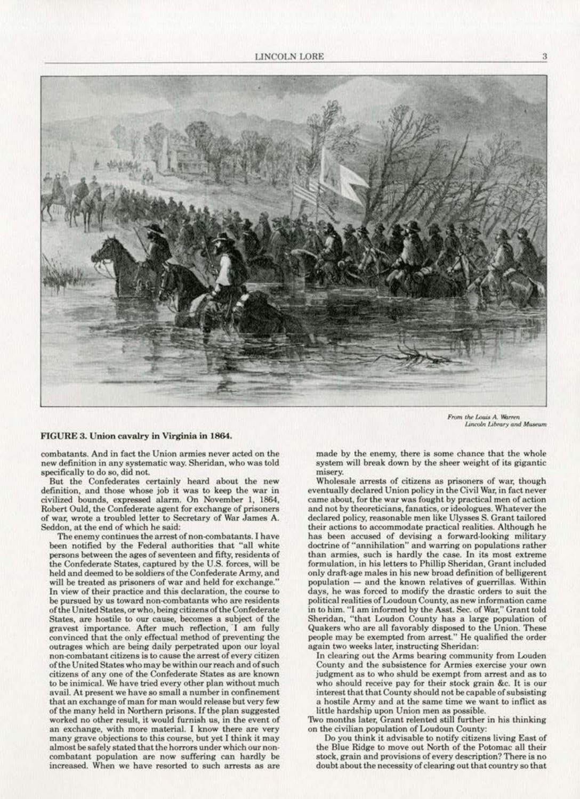

From the Louis A. Warren<br>Lincoln Library and Museum

#### FIGURE S. Union cavalry in Virginia in 1864.

combatants. And in fact lhe Union armies never acted on the new definition in any systematic way. Sheridan, who was told specifically to do so, did not.<br>But the Confederates certainly heard about the new

definition, and those whose job it was to keep the war in civilized bounds, expressed alarm. On November 1, 1864, Robert Ould, the Confederate agent for exchange of prisoners of war, wrote a troubled letter to Secretary of War James A. Seddon, at the end of which he said:

The enemy continues the arrest of non-combatants. I have been notified by the Federal authorities that "all white persons between the ages of seventeen and fifty, residents of the Confederate States, captured by the U.S. forces, will be held and deemed to be soldiers of the Confederate Army, and will be treated as prisoners of war and held for exchange." In view of their practice and this declaration, the course to be pursued by us toward non-combatants who are residents of the United States, or who, being citizens of the Confederate States, are hostile to our cause, becomes a subject of the gravest importance. After much reflection, I am fully convinced that the only effectual method of preventing the outrages which are being daily perpetrated upon our loyal non-combatant citizens is to cause the arrest of every citizen of the United States who may bewithin ourreach and of such citizens of any one of the Confederate States as are known to be inimical. We have tried every other plan without much avail. At present we have so small a number in confinement that an exchange of man for man would release but very few of the many held in Northern prisons. [f the plan suggested worked no other result, it would farnish us, in the event of an exchange, with more material. I know there are very many grave objections to this course, but yet I think it may almost be safely stated that the horrors under which our noncombatant population are now suffering can hardly be increased. When we have resorted to such arrests as are

made by the enemy, there is some chance that the whole system will break down by the sheer weight of its gigantic misery.

Wholesale arrests of citizens as prisoners of war, though eventually declared Union policy in the Civil War, in fact never came about, for the war was fought by practical men of action and not by theoreticians, fanatics. or ideologues. Whatever the declared policy, reasonable men like Ulysses S. Grant tailored<br>their actions to accommodate practical realities. Although he has been accused of devising a forward-looking military doctrine of "annihilation" and warring on populations rather<br>than armies, such is hardly the case. In its most extreme formulation, in his letters to Phillip Sheridan, Grant included only dratt·age males in his new broad definition of belligerent population - and the known relatives of guerrillas. Within days, he was forced to modify the drastic orders to suit the political realities of Loudoun County, as new information came in to him. "I am informed by the Asst. Sec. of War," Grant told Sheridan, "that Loudon County has a large population of Quakers who are all favorably disposed to the Union. These people may be exempted from arrest." He qualified the order again two weeks later. instructing Sheridan:

In clearing out the Arms bearing community from Louden<br>County and the subsistence for Armies exercise your own judgment as to who shuld be exempt from arrest and as to who should receive pay for their stock grain &c. It is our interest that that County should not be capable of subsisting a hostile Army and at the same time we want to inflict as little hardship upon Union men as possible.<br>1998 Two months later, Grant relented still further in his thinking

on the civilian population of Loudoun County:

Do you think it advisable to notify citizens living East of the Blue Ridge to move out North of the Potomac all their stock, grain and provisions of every description? There is no doubt about the necessity of dearing out that country so that